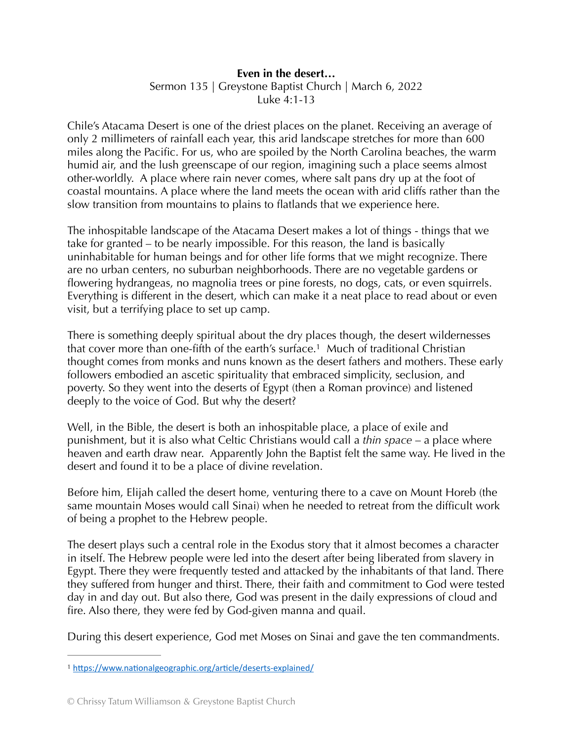## **Even in the desert…**

Sermon 135 | Greystone Baptist Church | March 6, 2022 Luke 4:1-13

Chile's Atacama Desert is one of the driest places on the planet. Receiving an average of only 2 millimeters of rainfall each year, this arid landscape stretches for more than 600 miles along the Pacific. For us, who are spoiled by the North Carolina beaches, the warm humid air, and the lush greenscape of our region, imagining such a place seems almost other-worldly. A place where rain never comes, where salt pans dry up at the foot of coastal mountains. A place where the land meets the ocean with arid cliffs rather than the slow transition from mountains to plains to flatlands that we experience here.

The inhospitable landscape of the Atacama Desert makes a lot of things - things that we take for granted – to be nearly impossible. For this reason, the land is basically uninhabitable for human beings and for other life forms that we might recognize. There are no urban centers, no suburban neighborhoods. There are no vegetable gardens or flowering hydrangeas, no magnolia trees or pine forests, no dogs, cats, or even squirrels. Everything is different in the desert, which can make it a neat place to read about or even visit, but a terrifying place to set up camp.

<span id="page-0-1"></span>There is something deeply spiritual about the dry places though, the desert wildernesses that cover more than one-fifth of the earth's surface[.](#page-0-0)<sup>[1](#page-0-0)</sup> Much of traditional Christian thought comes from monks and nuns known as the desert fathers and mothers. These early followers embodied an ascetic spirituality that embraced simplicity, seclusion, and poverty. So they went into the deserts of Egypt (then a Roman province) and listened deeply to the voice of God. But why the desert?

Well, in the Bible, the desert is both an inhospitable place, a place of exile and punishment, but it is also what Celtic Christians would call a *thin space* – a place where heaven and earth draw near. Apparently John the Baptist felt the same way. He lived in the desert and found it to be a place of divine revelation.

Before him, Elijah called the desert home, venturing there to a cave on Mount Horeb (the same mountain Moses would call Sinai) when he needed to retreat from the difficult work of being a prophet to the Hebrew people.

The desert plays such a central role in the Exodus story that it almost becomes a character in itself. The Hebrew people were led into the desert after being liberated from slavery in Egypt. There they were frequently tested and attacked by the inhabitants of that land. There they suffered from hunger and thirst. There, their faith and commitment to God were tested day in and day out. But also there, God was present in the daily expressions of cloud and fire. Also there, they were fed by God-given manna and quail.

During this desert experience, God met Moses on Sinai and gave the ten commandments.

<span id="page-0-0"></span><sup>&</sup>lt;sup>[1](#page-0-1)</sup> https://www.nationalgeographic.org/article/deserts-explained/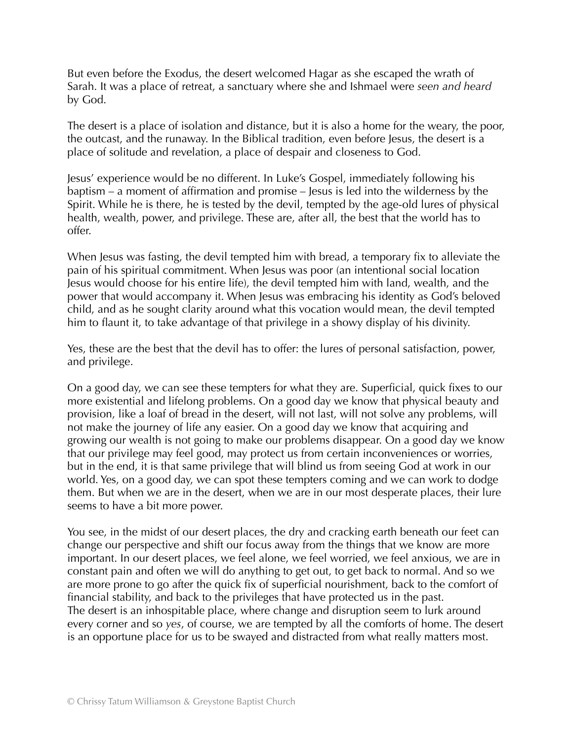But even before the Exodus, the desert welcomed Hagar as she escaped the wrath of Sarah. It was a place of retreat, a sanctuary where she and Ishmael were *seen and heard* by God.

The desert is a place of isolation and distance, but it is also a home for the weary, the poor, the outcast, and the runaway. In the Biblical tradition, even before Jesus, the desert is a place of solitude and revelation, a place of despair and closeness to God.

Jesus' experience would be no different. In Luke's Gospel, immediately following his baptism – a moment of affirmation and promise – Jesus is led into the wilderness by the Spirit. While he is there, he is tested by the devil, tempted by the age-old lures of physical health, wealth, power, and privilege. These are, after all, the best that the world has to offer.

When Jesus was fasting, the devil tempted him with bread, a temporary fix to alleviate the pain of his spiritual commitment. When Jesus was poor (an intentional social location Jesus would choose for his entire life), the devil tempted him with land, wealth, and the power that would accompany it. When Jesus was embracing his identity as God's beloved child, and as he sought clarity around what this vocation would mean, the devil tempted him to flaunt it, to take advantage of that privilege in a showy display of his divinity.

Yes, these are the best that the devil has to offer: the lures of personal satisfaction, power, and privilege.

On a good day, we can see these tempters for what they are. Superficial, quick fixes to our more existential and lifelong problems. On a good day we know that physical beauty and provision, like a loaf of bread in the desert, will not last, will not solve any problems, will not make the journey of life any easier. On a good day we know that acquiring and growing our wealth is not going to make our problems disappear. On a good day we know that our privilege may feel good, may protect us from certain inconveniences or worries, but in the end, it is that same privilege that will blind us from seeing God at work in our world. Yes, on a good day, we can spot these tempters coming and we can work to dodge them. But when we are in the desert, when we are in our most desperate places, their lure seems to have a bit more power.

You see, in the midst of our desert places, the dry and cracking earth beneath our feet can change our perspective and shift our focus away from the things that we know are more important. In our desert places, we feel alone, we feel worried, we feel anxious, we are in constant pain and often we will do anything to get out, to get back to normal. And so we are more prone to go after the quick fix of superficial nourishment, back to the comfort of financial stability, and back to the privileges that have protected us in the past. The desert is an inhospitable place, where change and disruption seem to lurk around every corner and so *yes*, of course, we are tempted by all the comforts of home. The desert is an opportune place for us to be swayed and distracted from what really matters most.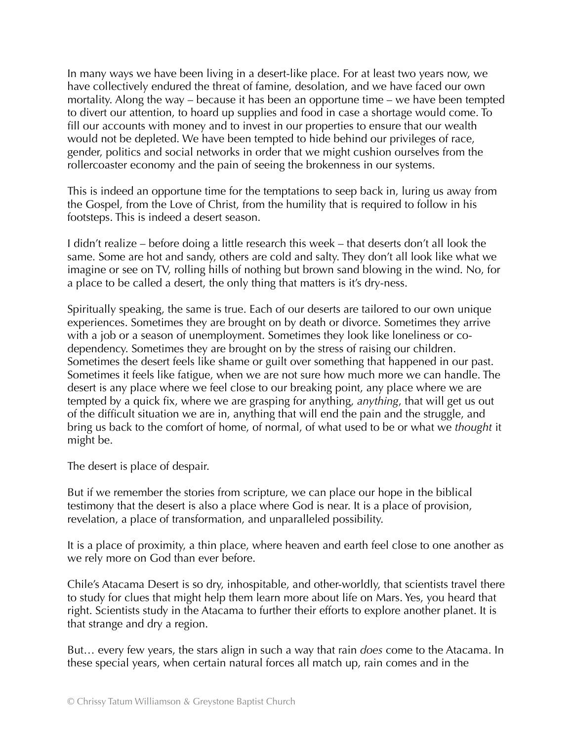In many ways we have been living in a desert-like place. For at least two years now, we have collectively endured the threat of famine, desolation, and we have faced our own mortality. Along the way – because it has been an opportune time – we have been tempted to divert our attention, to hoard up supplies and food in case a shortage would come. To fill our accounts with money and to invest in our properties to ensure that our wealth would not be depleted. We have been tempted to hide behind our privileges of race, gender, politics and social networks in order that we might cushion ourselves from the rollercoaster economy and the pain of seeing the brokenness in our systems.

This is indeed an opportune time for the temptations to seep back in, luring us away from the Gospel, from the Love of Christ, from the humility that is required to follow in his footsteps. This is indeed a desert season.

I didn't realize – before doing a little research this week – that deserts don't all look the same. Some are hot and sandy, others are cold and salty. They don't all look like what we imagine or see on TV, rolling hills of nothing but brown sand blowing in the wind. No, for a place to be called a desert, the only thing that matters is it's dry-ness.

Spiritually speaking, the same is true. Each of our deserts are tailored to our own unique experiences. Sometimes they are brought on by death or divorce. Sometimes they arrive with a job or a season of unemployment. Sometimes they look like loneliness or codependency. Sometimes they are brought on by the stress of raising our children. Sometimes the desert feels like shame or guilt over something that happened in our past. Sometimes it feels like fatigue, when we are not sure how much more we can handle. The desert is any place where we feel close to our breaking point, any place where we are tempted by a quick fix, where we are grasping for anything, *anything*, that will get us out of the difficult situation we are in, anything that will end the pain and the struggle, and bring us back to the comfort of home, of normal, of what used to be or what we *thought* it might be.

The desert is place of despair.

But if we remember the stories from scripture, we can place our hope in the biblical testimony that the desert is also a place where God is near. It is a place of provision, revelation, a place of transformation, and unparalleled possibility.

It is a place of proximity, a thin place, where heaven and earth feel close to one another as we rely more on God than ever before.

Chile's Atacama Desert is so dry, inhospitable, and other-worldly, that scientists travel there to study for clues that might help them learn more about life on Mars. Yes, you heard that right. Scientists study in the Atacama to further their efforts to explore another planet. It is that strange and dry a region.

But… every few years, the stars align in such a way that rain *does* come to the Atacama. In these special years, when certain natural forces all match up, rain comes and in the